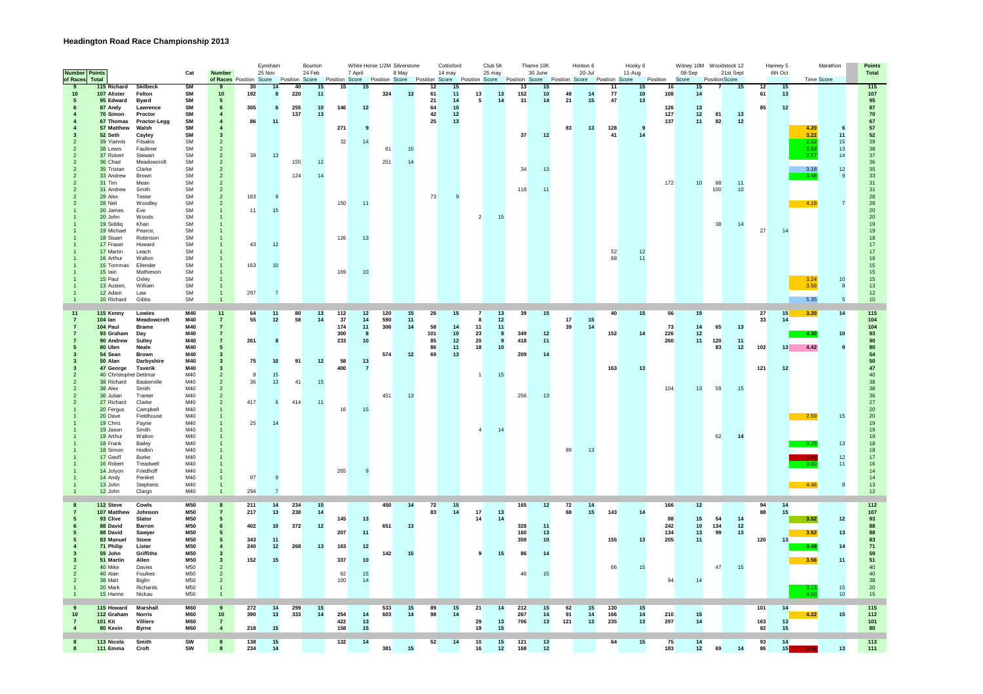## **Headington Road Race Championship 2013**

|    | <b>Number</b> Points     |                                      |                                 | Cat                    | <b>Number</b>                    |                                                                                                    | Eynsham<br>25 Nov |          | Bourton<br>24 Feb |             | White Horse 1/2M Silverstone<br>7 April |            | 8 May    |          | Cottisford<br>14 may |                       | Club <sub>5K</sub><br>25 may |            | Thame 10K<br>30 June                         |          | Honton 6<br>20-Jul |           | Hooky 6<br>11-Aug  |            | Witney 10M Woodstock 12<br>08-Sep |                | 21st Sept |           | Hanney 5<br>6th Oct   |                   | Marathon       | <b>Points</b><br>Total |
|----|--------------------------|--------------------------------------|---------------------------------|------------------------|----------------------------------|----------------------------------------------------------------------------------------------------|-------------------|----------|-------------------|-------------|-----------------------------------------|------------|----------|----------|----------------------|-----------------------|------------------------------|------------|----------------------------------------------|----------|--------------------|-----------|--------------------|------------|-----------------------------------|----------------|-----------|-----------|-----------------------|-------------------|----------------|------------------------|
|    | of Races                 | Total                                |                                 |                        |                                  | of Races Position Score Position Score Position Score Position Score Position Score Position Score |                   |          |                   |             |                                         |            |          |          |                      |                       |                              |            | Position Score Position Score Position Score |          |                    |           |                    | Position   | Score                             | Position Score |           |           |                       | <b>Time Score</b> |                |                        |
| -9 |                          | 115 Richard                          | <b>Skilbeck</b>                 | <b>SM</b>              | 9                                | 30                                                                                                 | 14                | 40       | 15                | 15          | 15                                      |            |          | 12       | 15                   |                       |                              | 13         | 15                                           |          |                    | 11        | 15                 | 16         | 15                                |                | 15        | 12        | 15                    |                   |                | 115                    |
|    | 10                       | 107 Alister<br>95 Edward             | Felton<br><b>Byard</b>          | <b>SM</b><br><b>SM</b> | 10<br>$\sqrt{5}$                 | 192                                                                                                | 8                 | 220      | 11                |             |                                         | 324        | 13       | 61<br>21 | 11<br>14             | 13<br>$5\phantom{.0}$ | 13<br>14                     | 152<br>31  | 10<br>14                                     | 49<br>21 | 14<br>15           | 77<br>47  | 10<br>13           | 108        | 14                                |                |           | 61        | 13                    |                   |                | $\frac{107}{95}$       |
|    |                          | 87 Andy                              | Lawrence                        | SM                     | $\bf 6$                          | 305                                                                                                | 6                 | 255      | $10$              | 146         | 12                                      |            |          | 64       | 10                   |                       |                              |            |                                              |          |                    |           |                    | 126        | 13                                |                |           | 85        | 12                    |                   |                | 87                     |
|    |                          | 70 Simon                             | Proctor                         | <b>SM</b>              | $\overline{4}$                   |                                                                                                    |                   | 137      | 13                |             |                                         |            |          | 42       | 12                   |                       |                              |            |                                              |          |                    |           |                    | 127        | 12                                | 81             | 13        |           |                       |                   |                | ${\bf 70}$             |
|    |                          | 67 Thomas                            | Proctor-Legg                    | <b>SM</b><br><b>SM</b> | $\overline{4}$                   | 86                                                                                                 | 11                |          |                   |             |                                         |            |          | 25       | 13                   |                       |                              |            |                                              |          |                    |           |                    | 137        | 11                                | 82             | 12        |           |                       |                   |                | 67                     |
|    | 3                        | 57 Matthew<br>52 Seth                | Walsh<br>Cayley                 | SM                     | $\overline{4}$<br>$\mathbf{3}$   |                                                                                                    |                   |          |                   | 271         | q                                       |            |          |          |                      |                       |                              | 37         | 12                                           | 83       | 13                 | 128<br>41 | $\mathbf{q}$<br>14 |            |                                   |                |           |           |                       | 4.20<br>3.22      | 6<br>11        | 57<br>$52\,$           |
|    |                          | 39 Yiannis                           | Fitsakis                        | <b>SM</b>              | $\overline{2}$                   |                                                                                                    |                   |          |                   | 32          | 14                                      |            |          |          |                      |                       |                              |            |                                              |          |                    |           |                    |            |                                   |                |           |           |                       | 2.52              | 15             | $39\,$                 |
|    |                          | 38 Lewis                             | Faulkner                        | SM                     | $\overline{2}$                   |                                                                                                    |                   |          |                   |             |                                         | 61         | 15       |          |                      |                       |                              |            |                                              |          |                    |           |                    |            |                                   |                |           |           |                       | 2.58              | 13             | 38                     |
|    | $\overline{2}$           | 37 Robert                            | Stewart                         | <b>SM</b>              | $\overline{2}$                   | 39                                                                                                 | 13                |          |                   |             |                                         |            |          |          |                      |                       |                              |            |                                              |          |                    |           |                    |            |                                   |                |           |           |                       | 2.57              | 14             | 37                     |
|    |                          | 36 Chad<br>35 Tristan                | Meadowcroft<br>Clarke           | SM<br><b>SM</b>        | $\overline{2}$<br>$\overline{2}$ |                                                                                                    |                   | 155      | 12                |             |                                         | 251        | 14       |          |                      |                       |                              | 34         | 13                                           |          |                    |           |                    |            |                                   |                |           |           |                       | 3.18              | 12             | 36<br>$35\,$           |
|    |                          | 33 Andrew                            | Brown                           | SM                     | $\overline{2}$                   |                                                                                                    |                   | 124      | 14                |             |                                         |            |          |          |                      |                       |                              |            |                                              |          |                    |           |                    |            |                                   |                |           |           |                       | 3.48              | $\overline{9}$ | 33                     |
|    | $\overline{\phantom{a}}$ | 31 Tim                               | Mean                            | <b>SM</b>              | $\overline{2}$                   |                                                                                                    |                   |          |                   |             |                                         |            |          |          |                      |                       |                              |            |                                              |          |                    |           |                    | 172        | 10                                | 88             | 11        |           |                       |                   |                | 31                     |
|    |                          | 31 Andrew<br>28 Alex                 | Smith<br>Tester                 | SM<br><b>SM</b>        | $\overline{2}$<br>$\mathcal{P}$  |                                                                                                    | $\overline{9}$    |          |                   |             |                                         |            |          | 73       |                      |                       |                              | 118        | 11                                           |          |                    |           |                    |            |                                   | 100            | $10$      |           |                       |                   |                | 31                     |
|    |                          | 28 Neil                              | Woodley                         | SM                     | $\overline{2}$                   | 183                                                                                                |                   |          |                   | 150         | 11                                      |            |          |          |                      |                       |                              |            |                                              |          |                    |           |                    |            |                                   |                |           |           |                       | 4.18              |                | 28<br>28               |
|    |                          | 20 James                             | <b>Fve</b>                      | <b>SM</b>              | $\mathbf{1}$                     | 11                                                                                                 | 15                |          |                   |             |                                         |            |          |          |                      |                       |                              |            |                                              |          |                    |           |                    |            |                                   |                |           |           |                       |                   |                | $20\,$                 |
|    |                          | 20 John                              | Woods                           | SM                     |                                  |                                                                                                    |                   |          |                   |             |                                         |            |          |          |                      | $\overline{2}$        | 15                           |            |                                              |          |                    |           |                    |            |                                   |                |           |           |                       |                   |                | $20\,$                 |
|    |                          | 19 Siddig                            | Khan                            | SM                     |                                  |                                                                                                    |                   |          |                   |             |                                         |            |          |          |                      |                       |                              |            |                                              |          |                    |           |                    |            |                                   | 38             | 14        |           | 14                    |                   |                | 19                     |
|    |                          | 19 Michael<br>18 Stuart              | Pearce,<br>Robinson             | SM<br>SM               |                                  |                                                                                                    |                   |          |                   | 126         | 13                                      |            |          |          |                      |                       |                              |            |                                              |          |                    |           |                    |            |                                   |                |           | 27        |                       |                   |                | 19<br>18               |
|    |                          | 17 Fraser                            | Howard                          | <b>SM</b>              |                                  | 43                                                                                                 | 12                |          |                   |             |                                         |            |          |          |                      |                       |                              |            |                                              |          |                    |           |                    |            |                                   |                |           |           |                       |                   |                | 17                     |
|    |                          | 17 Martin                            | Leach                           | SM                     |                                  |                                                                                                    |                   |          |                   |             |                                         |            |          |          |                      |                       |                              |            |                                              |          |                    | 52        | 12                 |            |                                   |                |           |           |                       |                   |                | 17                     |
|    |                          | 16 Arthur<br>15 Tommas               | Walton<br>Ellender              | <b>SM</b><br>SM        |                                  | 163                                                                                                | 10                |          |                   |             |                                         |            |          |          |                      |                       |                              |            |                                              |          |                    | 68        | 11                 |            |                                   |                |           |           |                       |                   |                | 16<br>15 <sub>15</sub> |
|    |                          | 15 lain                              | Mathieson                       | SM                     |                                  |                                                                                                    |                   |          |                   | 169         | 10                                      |            |          |          |                      |                       |                              |            |                                              |          |                    |           |                    |            |                                   |                |           |           |                       |                   |                | $15\,$                 |
|    |                          | 15 Paul                              | Oxley                           | SM                     |                                  |                                                                                                    |                   |          |                   |             |                                         |            |          |          |                      |                       |                              |            |                                              |          |                    |           |                    |            |                                   |                |           |           |                       | 3.24              | 10             | 15                     |
|    |                          | 13 Austen,                           | William                         | <b>SM</b>              |                                  |                                                                                                    |                   |          |                   |             |                                         |            |          |          |                      |                       |                              |            |                                              |          |                    |           |                    |            |                                   |                |           |           |                       | 3.56              | 8              | 13                     |
|    |                          | 12 Adam<br>10 Richard                | Law<br>Gibbs                    | SM<br><b>SM</b>        | $\mathbf{1}$                     | 297                                                                                                |                   |          |                   |             |                                         |            |          |          |                      |                       |                              |            |                                              |          |                    |           |                    |            |                                   |                |           |           |                       | 5.35              | 5              | 12<br>10               |
|    |                          |                                      |                                 |                        |                                  |                                                                                                    |                   |          |                   |             |                                         |            |          |          |                      |                       |                              |            |                                              |          |                    |           |                    |            |                                   |                |           |           |                       |                   |                |                        |
|    | 11<br>$\overline{7}$     | 115 Kenny<br>$104$ lan               | Lowies<br>Meadowcroft           | <b>M40</b><br>M40      | 11<br>$\overline{7}$             | 64<br>55                                                                                           | 11<br>12          | 80<br>58 | 13<br>14          | $112$<br>37 | $12$<br>14                              | 120<br>590 | 15<br>11 | -26      | 15                   | $\overline{7}$<br>8   | 13<br>$12$                   | 39         | 15                                           | 17       | 15                 | 40        | 15                 | 56         | 15                                |                |           | 27<br>33  | 15<br>14              | 3.20              | 14             | 115<br>$104$           |
|    | $\overline{7}$           | 104 Paul                             | <b>Brame</b>                    | M40                    | $\overline{7}$                   |                                                                                                    |                   |          |                   | 174         | 11                                      | 306        | 14       | 58       | 14                   | 11                    | $\overline{11}$              |            |                                              | 39       | 14                 |           |                    | 73         | 14                                | 65             | 13        |           |                       |                   |                | $104$                  |
|    |                          | 93 Graham                            | Day                             | M40                    | $\overline{7}$                   |                                                                                                    |                   |          |                   | 300         | 8                                       |            |          | 101      | $10\,$               | 23                    | 8                            | 349        | 12                                           |          |                    | 152       | 14                 | 226        | 12                                |                |           |           |                       | 4.30              | $10\,$         | 93                     |
|    |                          | 90 Andrew                            | Sulley                          | M40                    | $\overline{7}$                   | 261                                                                                                | -8                |          |                   | 233         | 10                                      |            |          | 85       | 12                   | 20                    | $\overline{9}$               | 418        | 11                                           |          |                    |           |                    | 260        | 11                                | 120            | 11        |           |                       |                   | 9              | 90<br>80               |
|    |                          | 80 Ulen<br>54 Sean                   | Neale<br>Brown                  | M40<br>M40             | ${\bf 5}$<br>$\mathbf{3}$        |                                                                                                    |                   |          |                   |             |                                         | 574        | 12       | 86<br>69 | 11<br>13             | 18                    | 10                           | 209        | 14                                           |          |                    |           |                    |            |                                   | 83             | 12        | 102       | 13                    | 4.42              |                |                        |
|    |                          | 50 Alan                              | Darbyshire                      | M40                    | $\overline{\mathbf{3}}$          | 75                                                                                                 | 10                | 91       | 12                | 58          | 13                                      |            |          |          |                      |                       |                              |            |                                              |          |                    |           |                    |            |                                   |                |           |           |                       |                   |                | 54<br>50               |
|    |                          | 47 George                            | <b>Tsverik</b>                  | M40                    | $\overline{\mathbf{3}}$          |                                                                                                    |                   |          |                   | 400         | 7                                       |            |          |          |                      |                       |                              |            |                                              |          |                    | 163       | 13                 |            |                                   |                |           | 121       | 12                    |                   |                | 47                     |
|    |                          | 40 Christopher Dettmar<br>38 Richard | Baskerville                     | M40<br>M40             | $\overline{2}$<br>$\overline{2}$ | $\mathbf{a}$<br>36                                                                                 | 15<br>13          | 41       | 15                |             |                                         |            |          |          |                      | $\mathbf{1}$          | 15                           |            |                                              |          |                    |           |                    |            |                                   |                |           |           |                       |                   |                | 40                     |
|    |                          | 38 Alex                              | Smith                           | M40                    | $\overline{2}$                   |                                                                                                    |                   |          |                   |             |                                         |            |          |          |                      |                       |                              |            |                                              |          |                    |           |                    | 104        | 13                                | 59             | 15        |           |                       |                   |                | 38<br>38               |
|    |                          | 36 Julian                            | Tranter                         | M40                    | $\overline{2}$                   |                                                                                                    |                   |          |                   |             |                                         | 451        | 13       |          |                      |                       |                              | 256        | 13                                           |          |                    |           |                    |            |                                   |                |           |           |                       |                   |                | 36                     |
|    |                          | 27 Richard                           | Clarke                          | M40                    | $\overline{2}$                   | 417                                                                                                | 6                 | 414      | 11                |             |                                         |            |          |          |                      |                       |                              |            |                                              |          |                    |           |                    |            |                                   |                |           |           |                       |                   |                | 27                     |
|    |                          | 20 Fergus<br>20 Dave                 | Campbell<br>Fieldhouse          | M40<br>M40             |                                  |                                                                                                    |                   |          |                   | 16          | 15                                      |            |          |          |                      |                       |                              |            |                                              |          |                    |           |                    |            |                                   |                |           |           |                       | 2.59              | 15             | $20\,$<br>$20\,$       |
|    |                          | 19 Chris                             | Payne                           | M40                    |                                  | 25                                                                                                 | 14                |          |                   |             |                                         |            |          |          |                      |                       |                              |            |                                              |          |                    |           |                    |            |                                   |                |           |           |                       |                   |                | 19                     |
|    |                          | 19 Jason                             | Smith                           | M40                    |                                  |                                                                                                    |                   |          |                   |             |                                         |            |          |          |                      | $\overline{4}$        | 14                           |            |                                              |          |                    |           |                    |            |                                   |                |           |           |                       |                   |                | $19$                   |
|    |                          | 19 Arthur                            | Walton                          | M40<br>MAO             |                                  |                                                                                                    |                   |          |                   |             |                                         |            |          |          |                      |                       |                              |            |                                              |          |                    |           |                    |            |                                   | 62             | 14        |           |                       |                   |                | 19                     |
|    |                          | 18 Frank<br>18 Simon                 | Bailey<br>Hodkin                | M40                    |                                  |                                                                                                    |                   |          |                   |             |                                         |            |          |          |                      |                       |                              |            |                                              | 89       | 13                 |           |                    |            |                                   |                |           |           |                       | $-3.29$           | $13$           | $18\,$<br>$18$         |
|    |                          | 17 Geoff                             | <b>Burke</b>                    | M40                    |                                  |                                                                                                    |                   |          |                   |             |                                         |            |          |          |                      |                       |                              |            |                                              |          |                    |           |                    |            |                                   |                |           |           |                       |                   | 12             | $17\,$                 |
|    |                          | 16 Robert                            | Treadwell                       | M40                    |                                  |                                                                                                    |                   |          |                   |             |                                         |            |          |          |                      |                       |                              |            |                                              |          |                    |           |                    |            |                                   |                |           |           |                       |                   | 11             | $16$                   |
|    |                          | 14 Jolyon<br>14 Andy                 | Friedhoff<br>Peniket            | MAO<br>M40             |                                  | 97                                                                                                 | 9                 |          |                   | 265         | $\mathbf{g}$                            |            |          |          |                      |                       |                              |            |                                              |          |                    |           |                    |            |                                   |                |           |           |                       |                   |                | $14\,$<br>14           |
|    |                          | 13 John                              | Stephens                        | M40                    | -1                               |                                                                                                    |                   |          |                   |             |                                         |            |          |          |                      |                       |                              |            |                                              |          |                    |           |                    |            |                                   |                |           |           |                       | 4.46              | 8              | $13\,$                 |
|    |                          | 12 John                              | Clargo                          | M40                    |                                  | 294                                                                                                |                   |          |                   |             |                                         |            |          |          |                      |                       |                              |            |                                              |          |                    |           |                    |            |                                   |                |           |           |                       |                   |                | 12                     |
|    | 8                        | 112 Steve                            | Cowls                           | M50                    | 8                                | 211                                                                                                | 14                | 234      | $15\,$            |             |                                         | 450        | 14       | 72       | 15                   |                       |                              | 165        | 12                                           | 72       | 14                 |           |                    | 166        | $12$                              |                |           | 94        | 14                    |                   |                | 112                    |
|    |                          | 107 Matthew                          | Johnson                         | M50                    | $\overline{7}$                   | 217                                                                                                | 13                | 238      | 14                |             |                                         |            |          | 83       | 14                   | 17                    | 13                           |            |                                              | 68       | 15                 | 143       | 14                 |            |                                   |                |           | 88        |                       |                   |                | ${\bf 107}$            |
|    |                          | 93 Clive                             | Slator                          | M50                    | 5                                |                                                                                                    |                   |          |                   | 145         | 13                                      |            |          |          |                      | 14                    | 14                           |            |                                              |          |                    |           |                    | 88         | 15                                | 54             | 14        |           |                       | 3.52              | 12             | 93                     |
|    |                          | 88 David                             | Barron                          | M50                    | 6                                | 402                                                                                                | 10                | 372      | 12                |             |                                         | 651        | 13       |          |                      |                       |                              | 328        | 11                                           |          |                    |           |                    | 242        | 10                                | 134            | 12        |           |                       |                   |                | 88                     |
|    |                          | 88 David<br>83 Manuel                | Sawyer<br>Stone                 | M50<br>M50             | $5\phantom{.0}$<br>5             | 343                                                                                                | 11                |          |                   | 207         | 11                                      |            |          |          |                      |                       |                              | 160<br>359 | 13<br>10                                     |          |                    | 155       | 13                 | 134<br>205 | $13$<br>11                        | 99             | 13        | 120       |                       | 3.52              | 13             | 88<br>83               |
|    |                          | 71 Philip                            | Lister                          | M50                    | $\overline{4}$                   | 240                                                                                                | 12                | 268      | 13                | 163         | 12                                      |            |          |          |                      |                       |                              |            |                                              |          |                    |           |                    |            |                                   |                |           |           |                       | 3.49              | 14             | 71                     |
|    |                          | 59 John                              | Griffiths                       | M50                    | $\overline{\mathbf{3}}$          |                                                                                                    |                   |          |                   |             |                                         | 142        | 15       |          |                      | 9                     | 15                           | 86         | 14                                           |          |                    |           |                    |            |                                   |                |           |           |                       |                   |                | 59                     |
|    | $\overline{\phantom{a}}$ | 51 Martin<br>40 Mike                 | Allen<br>Davies                 | M50<br>M50             | $\mathbf{3}$<br>$\overline{2}$   | 152                                                                                                | 15                |          |                   | 337         | 10                                      |            |          |          |                      |                       |                              |            |                                              |          |                    | 66        | 15                 |            |                                   | 47             | 15        |           |                       | 3.56              | 11             | 51<br>40               |
|    | $\overline{\phantom{a}}$ | 40 Alan                              | Foulkes                         | M50                    | $\overline{2}$                   |                                                                                                    |                   |          |                   | 62          | 15                                      |            |          |          |                      |                       |                              | 46         | 15                                           |          |                    |           |                    |            |                                   |                |           |           |                       |                   |                | $40\,$                 |
|    | $\overline{2}$           | 38 Matt                              | Biglin                          | M50                    | $\overline{2}$                   |                                                                                                    |                   |          |                   | 100         | 14                                      |            |          |          |                      |                       |                              |            |                                              |          |                    |           |                    | 94         | 14                                |                |           |           |                       |                   |                | 38                     |
|    |                          | 20 Mark                              | Richards                        | M <sub>50</sub>        | $\mathbf{1}$                     |                                                                                                    |                   |          |                   |             |                                         |            |          |          |                      |                       |                              |            |                                              |          |                    |           |                    |            |                                   |                |           |           |                       | 3.1               | 15             | $20\,$                 |
|    | $\overline{1}$           | 15 Hanno                             | Nickau                          | M50                    | $\overline{1}$                   |                                                                                                    |                   |          |                   |             |                                         |            |          |          |                      |                       |                              |            |                                              |          |                    |           |                    |            |                                   |                |           |           |                       | 4.50              | 10             | 15                     |
|    | 9                        | 115 Howard                           | <b>Marshall</b>                 | M60                    | $\pmb{9}$                        | 272                                                                                                | 14                | 299      | 15                |             |                                         | 533        | 15       | 89       | 15                   | 21                    | 14                           | 212        | 15                                           | 62       | 15                 | 130       | 15                 |            |                                   |                |           | 101       | 14                    |                   |                | 115                    |
|    | 10                       | 112 Graham                           | <b>Norris</b>                   | <b>M60</b>             | 10                               | 390                                                                                                | 13                | 333      | 14                | 254         | 14                                      | 603        | 14       | 98       | 14                   |                       |                              | 267        | 14                                           | 91       | 14                 | 166       | 14                 | 210        | 15                                |                |           |           |                       | 4.22              | 15             | 112                    |
|    | $\overline{4}$           | <b>101 Kit</b><br>80 Kevin           | <b>Villiers</b><br><b>Byrne</b> | M60<br>M60             | $\overline{7}$<br>$\overline{4}$ | 218                                                                                                | 15                |          |                   | 422<br>158  | 13<br>15                                |            |          |          |                      | 29<br>19              | 13<br>15                     | 706        | 13                                           | 121      | 13                 | 235       | 13                 | 297        | 14                                |                |           | 163<br>82 | 13<br>15              |                   |                | 101<br>80              |
|    |                          |                                      |                                 |                        |                                  |                                                                                                    |                   |          |                   |             |                                         |            |          |          |                      |                       |                              |            |                                              |          |                    |           |                    |            |                                   |                |           |           |                       |                   |                |                        |
|    | $\mathbf{8}$             | 113 Nicola<br><b>111 Emma</b>        | Smith<br>Croft                  | SW<br>SW               | $\bf{8}$<br>8                    | 138<br>234                                                                                         | 15<br>14          |          |                   | 132         | 14                                      | 381        | 15       | 52       | 14                   | 10<br>16              | 15<br>12                     | 121<br>168 | 13<br>12                                     |          |                    | 64        | 15                 | 75<br>183  | 14<br>12                          | 69             | 14        | 93<br>86  | 14<br>15 <sup>1</sup> |                   | 13             | 113<br>111             |